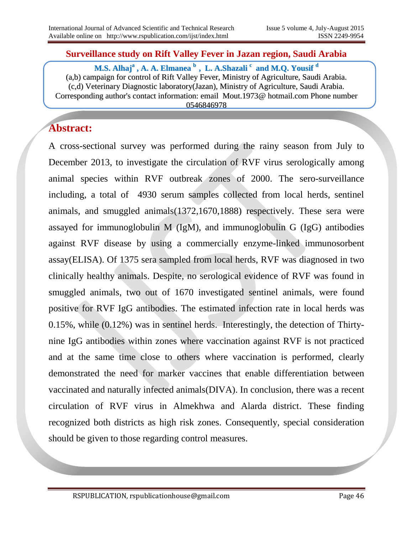#### **Surveillance study on Rift Valley Fever in Jazan region, Saudi Arabia**

**M.S. Alhaj a , A. A. Elmanea b , L. A.Shazali c and M.Q. Yousif d** (a,b) campaign for control of Rift Valley Fever, Ministry of Agriculture, Saudi Arabia. (c,d) Veterinary Diagnostic laboratory(Jazan), Ministry of Agriculture, Saudi Arabia. Corresponding author's contact information: email Mout.1973@ hotmail.com Phone number 0546846978

# **Abstract:**

A cross-sectional survey was performed during the rainy season from July to December 2013, to investigate the circulation of RVF virus serologically among animal species within RVF outbreak zones of 2000. The sero-surveillance including, a total of 4930 serum samples collected from local herds, sentinel animals, and smuggled animals(1372,1670,1888) respectively. These sera were assayed for immunoglobulin M (IgM), and immunoglobulin G (IgG) antibodies against RVF disease by using a commercially enzyme-linked immunosorbent assay(ELISA). Of 1375 sera sampled from local herds, RVF was diagnosed in two clinically healthy animals. Despite, no serological evidence of RVF was found in smuggled animals, two out of 1670 investigated sentinel animals, were found positive for RVF IgG antibodies. The estimated infection rate in local herds was 0.15%, while (0.12%) was in sentinel herds. Interestingly, the detection of Thirtynine IgG antibodies within zones where vaccination against RVF is not practiced and at the same time close to others where vaccination is performed, clearly demonstrated the need for marker vaccines that enable differentiation between vaccinated and naturally infected animals(DIVA). In conclusion, there was a recent circulation of RVF virus in Almekhwa and Alarda district. These finding recognized both districts as high risk zones. Consequently, special consideration should be given to those regarding control measures.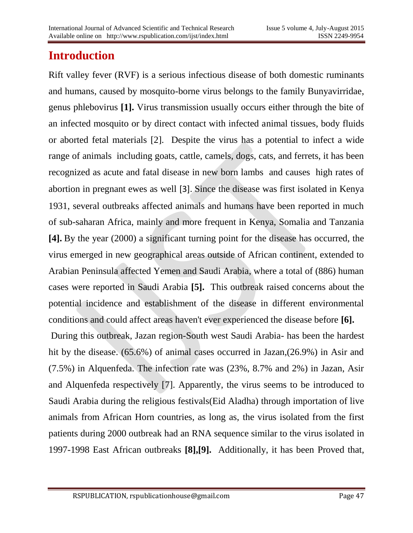# **Introduction**

Rift valley fever (RVF) is a serious infectious disease of both domestic ruminants and humans, caused by mosquito-borne virus belongs to the family Bunyavirridae, genus phlebovirus **[1].** Virus transmission usually occurs either through the bite of an infected mosquito or by direct contact with infected animal tissues, body fluids or aborted fetal materials [2]. Despite the virus has a potential to infect a wide range of animals including goats, cattle, camels, dogs, cats, and ferrets, it has been recognized as acute and fatal disease in new born lambs and causes high rates of abortion in pregnant ewes as well [3]. Since the disease was first isolated in Kenya 1931, several outbreaks affected animals and humans have been reported in much of sub-saharan Africa, mainly and more frequent in Kenya, Somalia and Tanzania **[4].** By the year (2000) a significant turning point for the disease has occurred, the virus emerged in new geographical areas outside of African continent, extended to Arabian Peninsula affected Yemen and Saudi Arabia, where a total of (886) human cases were reported in Saudi Arabia **[5].** This outbreak raised concerns about the potential incidence and establishment of the disease in different environmental conditions and could affect areas haven't ever experienced the disease before **[6].** During this outbreak, Jazan region-South west Saudi Arabia- has been the hardest

hit by the disease. (65.6%) of animal cases occurred in Jazan,(26.9%) in Asir and (7.5%) in Alquenfeda. The infection rate was (23%, 8.7% and 2%) in Jazan, Asir and Alquenfeda respectively [7]. Apparently, the virus seems to be introduced to Saudi Arabia during the religious festivals(Eid Aladha) through importation of live animals from African Horn countries, as long as, the virus isolated from the first patients during 2000 outbreak had an RNA sequence similar to the virus isolated in 1997-1998 East African outbreaks **[8],[9].** Additionally, it has been Proved that,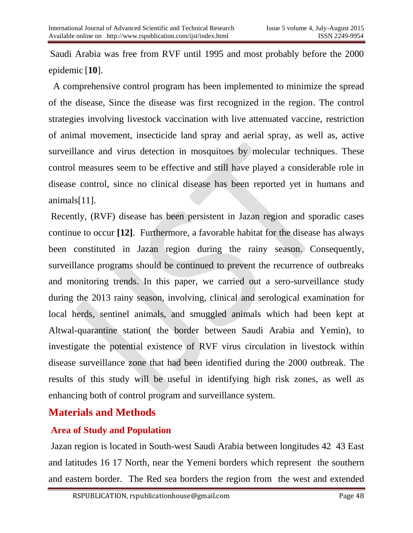Saudi Arabia was free from RVF until 1995 and most probably before the 2000 epidemic [**10**].

A comprehensive control program has been implemented to minimize the spread of the disease, Since the disease was first recognized in the region. The control strategies involving livestock vaccination with live attenuated vaccine, restriction of animal movement, insecticide land spray and aerial spray, as well as, active surveillance and virus detection in mosquitoes by molecular techniques. These control measures seem to be effective and still have played a considerable role in disease control, since no clinical disease has been reported yet in humans and animals[11].

Recently, (RVF) disease has been persistent in Jazan region and sporadic cases continue to occur **[12]**. Furthermore, a favorable habitat for the disease has always been constituted in Jazan region during the rainy season. Consequently, surveillance programs should be continued to prevent the recurrence of outbreaks and monitoring trends. In this paper, we carried out a sero-surveillance study during the 2013 rainy season, involving, clinical and serological examination for local herds, sentinel animals, and smuggled animals which had been kept at Altwal-quarantine station( the border between Saudi Arabia and Yemin), to investigate the potential existence of RVF virus circulation in livestock within disease surveillance zone that had been identified during the 2000 outbreak. The results of this study will be useful in identifying high risk zones, as well as enhancing both of control program and surveillance system.

# **Materials and Methods**

# **Area of Study and Population**

Jazan region is located in South-west Saudi Arabia between longitudes 42 43 East and latitudes 16 17 North, near the Yemeni borders which represent the southern and eastern border. The Red sea borders the region from the west and extended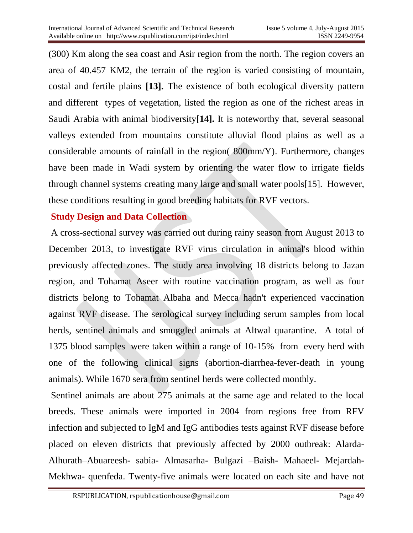(300) Km along the sea coast and Asir region from the north. The region covers an area of 40.457 KM2, the terrain of the region is varied consisting of mountain, costal and fertile plains **[13].** The existence of both ecological diversity pattern and different types of vegetation, listed the region as one of the richest areas in Saudi Arabia with animal biodiversity**[14].** It is noteworthy that, several seasonal valleys extended from mountains constitute alluvial flood plains as well as a considerable amounts of rainfall in the region( 800mm/Y). Furthermore, changes have been made in Wadi system by orienting the water flow to irrigate fields through channel systems creating many large and small water pools[15]. However, these conditions resulting in good breeding habitats for RVF vectors.

### **Study Design and Data Collection**

A cross-sectional survey was carried out during rainy season from August 2013 to December 2013, to investigate RVF virus circulation in animal's blood within previously affected zones. The study area involving 18 districts belong to Jazan region, and Tohamat Aseer with routine vaccination program, as well as four districts belong to Tohamat Albaha and Mecca hadn't experienced vaccination against RVF disease. The serological survey including serum samples from local herds, sentinel animals and smuggled animals at Altwal quarantine. A total of 1375 blood samples were taken within a range of 10-15% from every herd with one of the following clinical signs (abortion-diarrhea-fever-death in young animals). While 1670 sera from sentinel herds were collected monthly.

Sentinel animals are about 275 animals at the same age and related to the local breeds. These animals were imported in 2004 from regions free from RFV infection and subjected to IgM and IgG antibodies tests against RVF disease before placed on eleven districts that previously affected by 2000 outbreak: Alarda-Alhurath–Abuareesh- sabia- Almasarha- Bulgazi –Baish- Mahaeel- Mejardah-Mekhwa- quenfeda. Twenty-five animals were located on each site and have not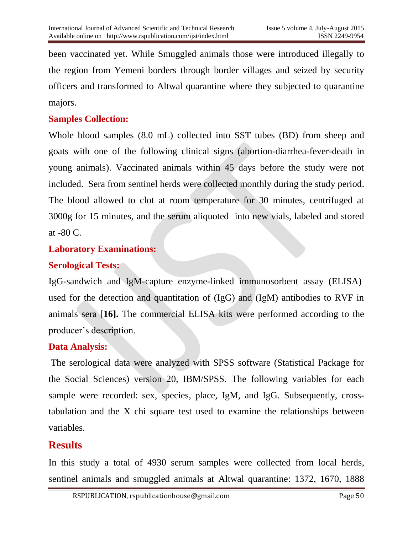been vaccinated yet. While Smuggled animals those were introduced illegally to the region from Yemeni borders through border villages and seized by security officers and transformed to Altwal quarantine where they subjected to quarantine majors.

### **Samples Collection:**

Whole blood samples (8.0 mL) collected into SST tubes (BD) from sheep and goats with one of the following clinical signs (abortion-diarrhea-fever-death in young animals). Vaccinated animals within 45 days before the study were not included. Sera from sentinel herds were collected monthly during the study period. The blood allowed to clot at room temperature for 30 minutes, centrifuged at 3000g for 15 minutes, and the serum aliquoted into new vials, labeled and stored at -80 C.

#### **Laboratory Examinations:**

### **Serological Tests:**

IgG-sandwich and IgM-capture enzyme-linked immunosorbent assay (ELISA) used for the detection and quantitation of (IgG) and (IgM) antibodies to RVF in animals sera [**16].** The commercial ELISA kits were performed according to the producer's description.

### **Data Analysis:**

The serological data were analyzed with SPSS software (Statistical Package for the Social Sciences) version 20, IBM/SPSS. The following variables for each sample were recorded: sex, species, place, IgM, and IgG. Subsequently, crosstabulation and the X chi square test used to examine the relationships between variables.

# **Results**

In this study a total of 4930 serum samples were collected from local herds, sentinel animals and smuggled animals at Altwal quarantine: 1372, 1670, 1888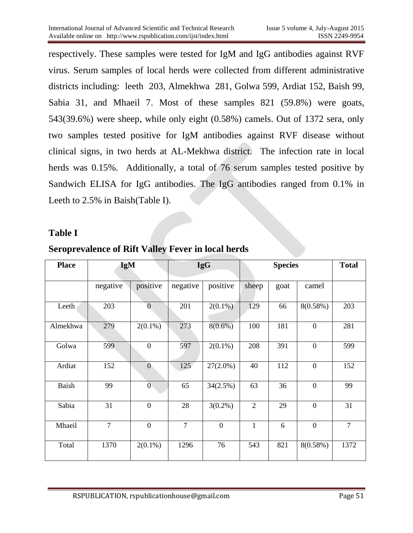respectively. These samples were tested for IgM and IgG antibodies against RVF virus. Serum samples of local herds were collected from different administrative districts including: leeth 203, Almekhwa 281, Golwa 599, Ardiat 152, Baish 99, Sabia 31, and Mhaeil 7. Most of these samples 821 (59.8%) were goats, 543(39.6%) were sheep, while only eight (0.58%) camels. Out of 1372 sera, only two samples tested positive for IgM antibodies against RVF disease without clinical signs, in two herds at AL-Mekhwa district. The infection rate in local herds was 0.15%. Additionally, a total of 76 serum samples tested positive by Sandwich ELISA for IgG antibodies. The IgG antibodies ranged from 0.1% in Leeth to 2.5% in Baish(Table I).

#### **Table I**

| <b>Place</b> | <b>IgM</b>     |                  | <b>IgG</b>     |                | <b>Species</b> |      |                  | <b>Total</b>   |
|--------------|----------------|------------------|----------------|----------------|----------------|------|------------------|----------------|
|              | negative       | positive         | negative       | positive       | sheep          | goat | camel            |                |
| Leeth        | 203            | $\overline{0}$   | 201            | $2(0.1\%)$     | 129            | 66   | 8(0.58%)         | 203            |
| Almekhwa     | 279            | $2(0.1\%)$       | 273            | $8(0.6\%)$     | 100            | 181  | $\boldsymbol{0}$ | 281            |
| Golwa        | 599            | $\mathbf{0}$     | 597            | $2(0.1\%)$     | 208            | 391  | $\boldsymbol{0}$ | 599            |
| Ardiat       | 152            | $\overline{0}$   | 125            | $27(2.0\%)$    | 40             | 112  | $\boldsymbol{0}$ | 152            |
| <b>Baish</b> | 99             | $\overline{0}$   | 65             | 34(2.5%)       | 63             | 36   | $\overline{0}$   | 99             |
| Sabia        | 31             | $\mathbf{0}$     | 28             | $3(0.2\%)$     | $\overline{2}$ | 29   | $\overline{0}$   | 31             |
| Mhaeil       | $\overline{7}$ | $\boldsymbol{0}$ | $\overline{7}$ | $\overline{0}$ | $\mathbf{1}$   | 6    | $\mathbf{0}$     | $\overline{7}$ |
| Total        | 1370           | $2(0.1\%)$       | 1296           | 76             | 543            | 821  | $8(0.58\%)$      | 1372           |

#### **Seroprevalence of Rift Valley Fever in local herds**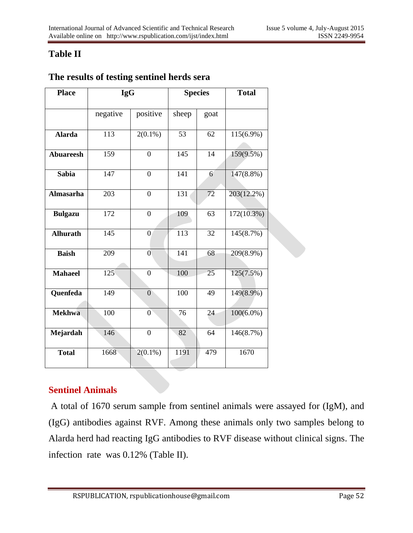# **Table II**

| <b>Place</b>     | <b>IgG</b>       |                | <b>Species</b>  |      | <b>Total</b>  |  |
|------------------|------------------|----------------|-----------------|------|---------------|--|
|                  | negative         | positive       | sheep           | goat |               |  |
| <b>Alarda</b>    | $\overline{113}$ | $2(0.1\%)$     | $\overline{53}$ | 62   | $115(6.9\%)$  |  |
| <b>Abuareesh</b> | 159              | $\overline{0}$ | 145             | 14   | 159(9.5%)     |  |
| <b>Sabia</b>     | $\overline{147}$ | $\overline{0}$ | 141             | 6    | $147(8.8\%)$  |  |
| <b>Almasarha</b> | 203              | $\mathbf{0}$   | 131             | 72   | 203(12.2%)    |  |
| <b>Bulgazu</b>   | $\overline{172}$ | $\overline{0}$ | 109             | 63   | $172(10.3\%)$ |  |
| <b>Alhurath</b>  | 145              | $\overline{0}$ | 113             | 32   | 145(8.7%)     |  |
| <b>Baish</b>     | 209              | $\mathbf{0}$   | 141             | 68   | 209(8.9%)     |  |
| <b>Mahaeel</b>   | 125              | $\mathbf{0}$   | 100             | 25   | 125(7.5%)     |  |
| Quenfeda         | 149              | $\overline{0}$ | 100             | 49   | 149(8.9%)     |  |
| <b>Mekhwa</b>    | 100              | $\overline{0}$ | 76              | 24   | $100(6.0\%)$  |  |
| Mejardah         | 146              | $\mathbf{0}$   | 82              | 64   | 146(8.7%)     |  |
| <b>Total</b>     | 1668             | $2(0.1\%)$     | 1191            | 479  | 1670          |  |

# **The results of testing sentinel herds sera**

# **Sentinel Animals**

A total of 1670 serum sample from sentinel animals were assayed for (IgM), and (IgG) antibodies against RVF. Among these animals only two samples belong to Alarda herd had reacting IgG antibodies to RVF disease without clinical signs. The infection rate was 0.12% (Table II).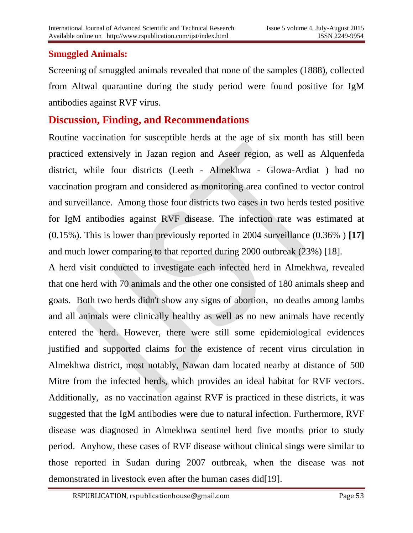### **Smuggled Animals:**

Screening of smuggled animals revealed that none of the samples (1888), collected from Altwal quarantine during the study period were found positive for IgM antibodies against RVF virus.

# **Discussion, Finding, and Recommendations**

Routine vaccination for susceptible herds at the age of six month has still been practiced extensively in Jazan region and Aseer region, as well as Alquenfeda district, while four districts (Leeth - Almekhwa - Glowa-Ardiat ) had no vaccination program and considered as monitoring area confined to vector control and surveillance. Among those four districts two cases in two herds tested positive for IgM antibodies against RVF disease. The infection rate was estimated at (0.15%). This is lower than previously reported in 2004 surveillance (0.36% ) **[17]** and much lower comparing to that reported during 2000 outbreak (23%) [18].

A herd visit conducted to investigate each infected herd in Almekhwa, revealed that one herd with 70 animals and the other one consisted of 180 animals sheep and goats. Both two herds didn't show any signs of abortion, no deaths among lambs and all animals were clinically healthy as well as no new animals have recently entered the herd. However, there were still some epidemiological evidences justified and supported claims for the existence of recent virus circulation in Almekhwa district, most notably, Nawan dam located nearby at distance of 500 Mitre from the infected herds, which provides an ideal habitat for RVF vectors. Additionally, as no vaccination against RVF is practiced in these districts, it was suggested that the IgM antibodies were due to natural infection. Furthermore, RVF disease was diagnosed in Almekhwa sentinel herd five months prior to study period. Anyhow, these cases of RVF disease without clinical sings were similar to those reported in Sudan during 2007 outbreak, when the disease was not demonstrated in livestock even after the human cases did [19].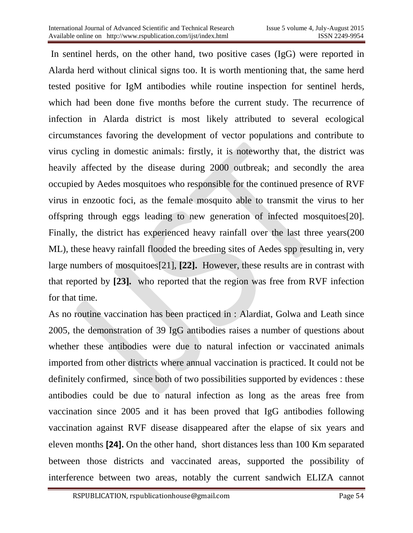In sentinel herds, on the other hand, two positive cases (IgG) were reported in Alarda herd without clinical signs too. It is worth mentioning that, the same herd tested positive for IgM antibodies while routine inspection for sentinel herds, which had been done five months before the current study. The recurrence of infection in Alarda district is most likely attributed to several ecological circumstances favoring the development of vector populations and contribute to virus cycling in domestic animals: firstly, it is noteworthy that, the district was heavily affected by the disease during 2000 outbreak; and secondly the area occupied by Aedes mosquitoes who responsible for the continued presence of RVF virus in enzootic foci, as the female mosquito able to transmit the virus to her offspring through eggs leading to new generation of infected mosquitoes[20]. Finally, the district has experienced heavy rainfall over the last three years(200 ML), these heavy rainfall flooded the breeding sites of Aedes spp resulting in, very large numbers of mosquitoes[21], **[22].** However, these results are in contrast with that reported by **[23].** who reported that the region was free from RVF infection for that time.

As no routine vaccination has been practiced in : Alardiat, Golwa and Leath since 2005, the demonstration of 39 IgG antibodies raises a number of questions about whether these antibodies were due to natural infection or vaccinated animals imported from other districts where annual vaccination is practiced. It could not be definitely confirmed, since both of two possibilities supported by evidences : these antibodies could be due to natural infection as long as the areas free from vaccination since 2005 and it has been proved that IgG antibodies following vaccination against RVF disease disappeared after the elapse of six years and eleven months **[24].** On the other hand, short distances less than 100 Km separated between those districts and vaccinated areas, supported the possibility of interference between two areas, notably the current sandwich ELIZA cannot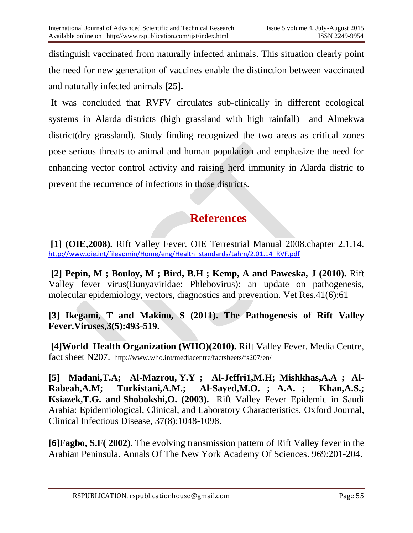distinguish vaccinated from naturally infected animals. This situation clearly point the need for new generation of vaccines enable the distinction between vaccinated and naturally infected animals **[25].**

It was concluded that RVFV circulates sub-clinically in different ecological systems in Alarda districts (high grassland with high rainfall) and Almekwa district(dry grassland). Study finding recognized the two areas as critical zones pose serious threats to animal and human population and emphasize the need for enhancing vector control activity and raising herd immunity in Alarda distric to prevent the recurrence of infections in those districts.

# **References**

**[1] (OIE,2008).** Rift Valley Fever. OIE Terrestrial Manual 2008.chapter 2.1.14. [http://www.oie.int/fileadmin/Home/eng/Health\\_standards/tahm/2.01.14\\_RVF.pdf](http://www.oie.int/fileadmin/Home/eng/Health_standards/tahm/2.01.14_RVF.pdf)

**[2] Pepin, M ; Bouloy, M ; Bird, B.H ; Kemp, A and Paweska, J (2010).** Rift Valley fever virus(Bunyaviridae: Phlebovirus): an update on pathogenesis, molecular epidemiology, vectors, diagnostics and prevention. Vet Res.41(6):61

**[3] Ikegami, T and Makino, S (2011). The Pathogenesis of Rift Valley Fever.Viruses,3(5):493-519.** 

**[4]World Health Organization (WHO)(2010).** Rift Valley Fever. Media Centre, fact sheet N207. <http://www.who.int/mediacentre/factsheets/fs207/en/>

**[5] Madani,T.A; [Al-Mazrou,](http://cid.oxfordjournals.org/search?author1=Yagob+Y.+Al-Mazrou&sortspec=date&submit=Submit) Y.Y ; [Al-Jeffri1,](http://cid.oxfordjournals.org/search?author1=Mohammad+H.+Al-Jeffri&sortspec=date&submit=Submit)M.H; [Mishkhas,](http://cid.oxfordjournals.org/search?author1=Amin+A.+Mishkhas&sortspec=date&submit=Submit)A.A ; [Al-](http://cid.oxfordjournals.org/search?author1=Abdullah+M.+Al-Rabeah&sortspec=date&submit=Submit)[Rabeah,](http://cid.oxfordjournals.org/search?author1=Abdullah+M.+Al-Rabeah&sortspec=date&submit=Submit)A.M; [Turkistani,](http://cid.oxfordjournals.org/search?author1=Adel+M.+Turkistani&sortspec=date&submit=Submit)A.M.; [Al-Sayed,](http://cid.oxfordjournals.org/search?author1=Mohammad+O.+Al-Sayed&sortspec=date&submit=Submit)M.O. ; A.A. ; [Khan,A.S.;](http://cid.oxfordjournals.org/search?author1=Ali+S.+Khan&sortspec=date&submit=Submit) [Ksiazek,](http://cid.oxfordjournals.org/search?author1=Thomas+G.+Ksiazek&sortspec=date&submit=Submit)T.G. and [Shobokshi,](http://cid.oxfordjournals.org/search?author1=Osama+Shobokshi&sortspec=date&submit=Submit)O. (2003).** Rift Valley Fever Epidemic in Saudi Arabia: Epidemiological, Clinical, and Laboratory Characteristics. Oxford Journal, Clinical Infectious Disease, 37(8):1048-1098.

**[6]Fagbo, S.F( 2002).** The evolving transmission pattern of Rift Valley fever in the Arabian Peninsula. [Annals Of The New York Academy Of Sciences.](javascript:__doLinkPostBack() 969:201-204.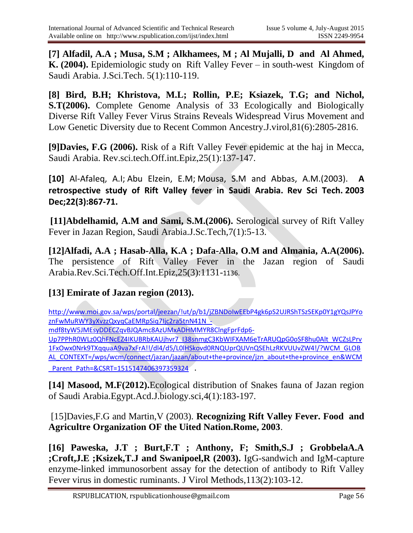**[7] Alfadil, A.A ; Musa, S.M ; Alkhamees, M ; Al Mujalli, D and Al Ahmed, K. (2004).** Epidemiologic study on Rift Valley Fever – in south-west Kingdom of Saudi Arabia. J.Sci.Tech. 5(1):110-119.

**[8] [Bird,](http://jvi.asm.org/search?author1=Brian+H.+Bird&sortspec=date&submit=Submit) B.H; [Khristova,](http://jvi.asm.org/search?author1=Marina+L.+Khristova&sortspec=date&submit=Submit) M.L; [Rollin,](http://jvi.asm.org/search?author1=Pierre+E.+Rollin&sortspec=date&submit=Submit) P.E; Ksiazek, T.G; and Nichol, S.T(2006).** Complete Genome Analysis of 33 Ecologically and Biologically Diverse Rift Valley Fever Virus Strains Reveals Widespread Virus Movement and Low Genetic Diversity due to Recent Common Ancestry.J.virol,81(6):2805-2816.

**[9]Davies, F.G (2006).** Risk of a Rift Valley Fever epidemic at the haj in Mecca, Saudi Arabia. Rev.sci.tech.Off.int.Epiz,25(1):137-147.

**[10]** [Al-Afaleq,](http://www.ncbi.nlm.nih.gov/pubmed?term=Al-Afaleq%20AI%5BAuthor%5D&cauthor=true&cauthor_uid=15005544) A.I; [Abu Elzein,](http://www.ncbi.nlm.nih.gov/pubmed?term=Abu%20Elzein%20EM%5BAuthor%5D&cauthor=true&cauthor_uid=15005544) E.M; [Mousa,](http://www.ncbi.nlm.nih.gov/pubmed?term=Mousa%20SM%5BAuthor%5D&cauthor=true&cauthor_uid=15005544) S.M and [Abbas,](http://www.ncbi.nlm.nih.gov/pubmed?term=Abbas%20AM%5BAuthor%5D&cauthor=true&cauthor_uid=15005544) A.M.(2003). **A retrospective study of Rift Valley fever in Saudi Arabia. [Rev Sci Tech.](http://www.ncbi.nlm.nih.gov/pubmed/15005544) 2003 Dec;22(3):867-71.**

**[11]Abdelhamid, A.M and Sami, S.M.(2006).** Serological survey of Rift Valley Fever in Jazan Region, Saudi Arabia.J.Sc.Tech,7(1):5-13.

**[12]Alfadi, A.A ; Hasab-Alla, K.A ; Dafa-Alla, O.M and Almania, A.A(2006).** The persistence of Rift Valley Fever in the Jazan region of Saudi Arabia.Rev.Sci.Tech.Off.Int.Epiz,25(3):1131-1136.

### **[13] Emirate of Jazan region (2013).**

[http://www.moi.gov.sa/wps/portal/jeezan/!ut/p/b1/jZBNDoIwEEbP4gk6pS2UJRShTSzSEKp0Y1gYQsJPYo](http://www.moi.gov.sa/wps/portal/jeezan/!ut/p/b1/jZBNDoIwEEbP4gk6pS2UJRShTSzSEKp0Y1gYQsJPYoznFwMuRWY3yXvzzQxyqCaEMRpSiq7Ijc2ra5tnN41N_-mdf8tyW5JMEsyDDECZqvBJQAmc8AzUMxADHMMYR8ClngFprFdp6-Up7PPhR0WLz0QhFNcEZ4IKUBRbKAUjhvr7_I38snmgC3KbWIFXAM6eTrARUQpG0oSF8hu0Alt_WCZsLPrv1FxOwx0Nrk9TXqquaA9va7xFrA!!/dl4/d5/L0lHSkovd0RNQUprQUVnQSEhLzRKVUUvZW4!/?WCM_GLOBAL_CONTEXT=/wps/wcm/connect/jazan/jazan/about+the+province/jzn_about+the+province_en&WCM_Parent_Path=&CSRT=1515147406397359324) [znFwMuRWY3yXvzzQxyqCaEMRpSiq7Ijc2ra5tnN41N\\_-](http://www.moi.gov.sa/wps/portal/jeezan/!ut/p/b1/jZBNDoIwEEbP4gk6pS2UJRShTSzSEKp0Y1gYQsJPYoznFwMuRWY3yXvzzQxyqCaEMRpSiq7Ijc2ra5tnN41N_-mdf8tyW5JMEsyDDECZqvBJQAmc8AzUMxADHMMYR8ClngFprFdp6-Up7PPhR0WLz0QhFNcEZ4IKUBRbKAUjhvr7_I38snmgC3KbWIFXAM6eTrARUQpG0oSF8hu0Alt_WCZsLPrv1FxOwx0Nrk9TXqquaA9va7xFrA!!/dl4/d5/L0lHSkovd0RNQUprQUVnQSEhLzRKVUUvZW4!/?WCM_GLOBAL_CONTEXT=/wps/wcm/connect/jazan/jazan/about+the+province/jzn_about+the+province_en&WCM_Parent_Path=&CSRT=1515147406397359324)

[mdf8tyW5JMEsyDDECZqvBJQAmc8AzUMxADHMMYR8ClngFprFdp6-](http://www.moi.gov.sa/wps/portal/jeezan/!ut/p/b1/jZBNDoIwEEbP4gk6pS2UJRShTSzSEKp0Y1gYQsJPYoznFwMuRWY3yXvzzQxyqCaEMRpSiq7Ijc2ra5tnN41N_-mdf8tyW5JMEsyDDECZqvBJQAmc8AzUMxADHMMYR8ClngFprFdp6-Up7PPhR0WLz0QhFNcEZ4IKUBRbKAUjhvr7_I38snmgC3KbWIFXAM6eTrARUQpG0oSF8hu0Alt_WCZsLPrv1FxOwx0Nrk9TXqquaA9va7xFrA!!/dl4/d5/L0lHSkovd0RNQUprQUVnQSEhLzRKVUUvZW4!/?WCM_GLOBAL_CONTEXT=/wps/wcm/connect/jazan/jazan/about+the+province/jzn_about+the+province_en&WCM_Parent_Path=&CSRT=1515147406397359324)

[Up7PPhR0WLz0QhFNcEZ4IKUBRbKAUjhvr7\\_I38snmgC3KbWIFXAM6eTrARUQpG0oSF8hu0Alt\\_WCZsLPrv](http://www.moi.gov.sa/wps/portal/jeezan/!ut/p/b1/jZBNDoIwEEbP4gk6pS2UJRShTSzSEKp0Y1gYQsJPYoznFwMuRWY3yXvzzQxyqCaEMRpSiq7Ijc2ra5tnN41N_-mdf8tyW5JMEsyDDECZqvBJQAmc8AzUMxADHMMYR8ClngFprFdp6-Up7PPhR0WLz0QhFNcEZ4IKUBRbKAUjhvr7_I38snmgC3KbWIFXAM6eTrARUQpG0oSF8hu0Alt_WCZsLPrv1FxOwx0Nrk9TXqquaA9va7xFrA!!/dl4/d5/L0lHSkovd0RNQUprQUVnQSEhLzRKVUUvZW4!/?WCM_GLOBAL_CONTEXT=/wps/wcm/connect/jazan/jazan/about+the+province/jzn_about+the+province_en&WCM_Parent_Path=&CSRT=1515147406397359324) [1FxOwx0Nrk9TXqquaA9va7xFrA!!/dl4/d5/L0lHSkovd0RNQUprQUVnQSEhLzRKVUUvZW4!/?WCM\\_GLOB](http://www.moi.gov.sa/wps/portal/jeezan/!ut/p/b1/jZBNDoIwEEbP4gk6pS2UJRShTSzSEKp0Y1gYQsJPYoznFwMuRWY3yXvzzQxyqCaEMRpSiq7Ijc2ra5tnN41N_-mdf8tyW5JMEsyDDECZqvBJQAmc8AzUMxADHMMYR8ClngFprFdp6-Up7PPhR0WLz0QhFNcEZ4IKUBRbKAUjhvr7_I38snmgC3KbWIFXAM6eTrARUQpG0oSF8hu0Alt_WCZsLPrv1FxOwx0Nrk9TXqquaA9va7xFrA!!/dl4/d5/L0lHSkovd0RNQUprQUVnQSEhLzRKVUUvZW4!/?WCM_GLOBAL_CONTEXT=/wps/wcm/connect/jazan/jazan/about+the+province/jzn_about+the+province_en&WCM_Parent_Path=&CSRT=1515147406397359324) [AL\\_CONTEXT=/wps/wcm/connect/jazan/jazan/about+the+province/jzn\\_about+the+province\\_en&WCM](http://www.moi.gov.sa/wps/portal/jeezan/!ut/p/b1/jZBNDoIwEEbP4gk6pS2UJRShTSzSEKp0Y1gYQsJPYoznFwMuRWY3yXvzzQxyqCaEMRpSiq7Ijc2ra5tnN41N_-mdf8tyW5JMEsyDDECZqvBJQAmc8AzUMxADHMMYR8ClngFprFdp6-Up7PPhR0WLz0QhFNcEZ4IKUBRbKAUjhvr7_I38snmgC3KbWIFXAM6eTrARUQpG0oSF8hu0Alt_WCZsLPrv1FxOwx0Nrk9TXqquaA9va7xFrA!!/dl4/d5/L0lHSkovd0RNQUprQUVnQSEhLzRKVUUvZW4!/?WCM_GLOBAL_CONTEXT=/wps/wcm/connect/jazan/jazan/about+the+province/jzn_about+the+province_en&WCM_Parent_Path=&CSRT=1515147406397359324) Parent\_Path=&CSRT=1515147406397359324 .

**[14] Masood, M.F(2012).**Ecological distribution of Snakes fauna of Jazan region of Saudi Arabia.Egypt.Acd.J.biology.sci,4(1):183-197.

### [15]Davies,F.G and Martin,V (2003). **Recognizing Rift Valley Fever. Food and Agricultre Organization OF the Uited Nation.Rome, 2003**.

**[16] Paweska, J.T ; Burt,F.T ; Anthony, F; Smith,S.J ; GrobbelaA.A ;Croft,J.E ;Ksizek,T.J and Swanipoel,R (2003).** IgG-sandwich and IgM-capture enzyme-linked immunosorbent assay for the detection of antibody to Rift Valley Fever virus in domestic ruminants. [J Virol Methods,1](http://www.ncbi.nlm.nih.gov/pubmed/14553896)13(2):103-12.